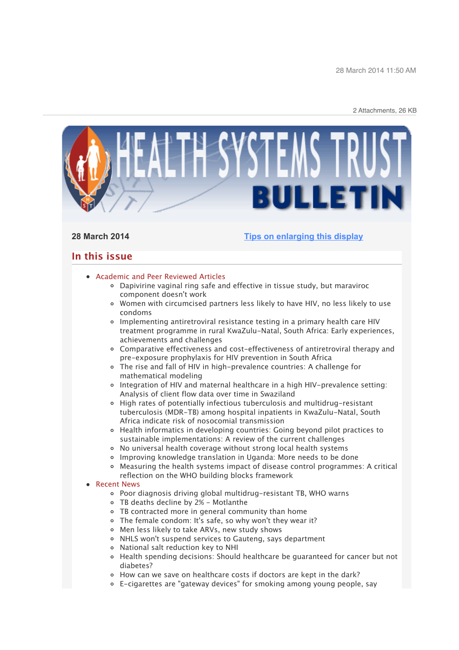28 March 2014 11:50 AM

2 Attachments, 26 KB



## **28 March 2014 [Tips on enlarging this display](http://bulletin.hst.org.za//lt.php?id=K09RCFxWVg8HSlNTCkUEAFdT)**

# **In this issue**

### [Academic and Peer Reviewed Articles](x-msg://79/#Academic)

- [Dapivirine vaginal ring safe and effective in tissue study, but maraviroc](x-msg://79/#A_1) component doesn't work
- [Women with circumcised partners less likely to have HIV, no less likely to use](x-msg://79/#A_2) condoms
- Implementing antiretroviral resistance testing in a primary health care HIV [treatment programme in rural KwaZulu-Natal, South Africa: Early experiences,](x-msg://79/#A_3) achievements and challenges
- [Comparative effectiveness and cost-effectiveness of antiretroviral therapy and](x-msg://79/#A_4) pre-exposure prophylaxis for HIV prevention in South Africa
- [The rise and fall of HIV in high-prevalence countries: A challenge for](x-msg://79/#A_5) mathematical modeling
- [Integration of HIV and maternal healthcare in a high HIV-prevalence setting:](x-msg://79/#A_6) Analysis of client flow data over time in Swaziland
- High rates of potentially infectious tuberculosis and multidrug-resistant [tuberculosis \(MDR-TB\) among hospital inpatients in KwaZulu-Natal, South](x-msg://79/#A_7) Africa indicate risk of nosocomial transmission
- [Health informatics in developing countries: Going beyond pilot practices to](x-msg://79/#A_8) sustainable implementations: A review of the current challenges
- [No universal health coverage without strong local health systems](x-msg://79/#A_9)
- [Improving knowledge translation in Uganda: More needs to be done](x-msg://79/#A_10)
- [Measuring the health systems impact of disease control programmes: A critical](x-msg://79/#A_11) reflection on the WHO building blocks framework

### **B** [Recent News](x-msg://79/#recent)

- [Poor diagnosis driving global multidrug-resistant TB, WHO warns](x-msg://79/#N_1)
- [TB deaths decline by 2% Motlanthe](x-msg://79/#N_2)
- [TB contracted more in general community than home](x-msg://79/#N_3)
- [The female condom: It's safe, so why won't they wear it?](x-msg://79/#N_4)
- [Men less likely to take ARVs, new study shows](x-msg://79/#N_5)
- [NHLS won't suspend services to Gauteng, says department](x-msg://79/#N_6)
- [National salt reduction key to NHI](x-msg://79/#N_7)
- [Health spending decisions: Should healthcare be guaranteed for cancer but not](x-msg://79/#N_8) diabetes?
- [How can we save on healthcare costs if doctors are kept in the dark?](x-msg://79/#N_9)
- [E-cigarettes are "gateway devices" for smoking among young people, say](x-msg://79/#N_10)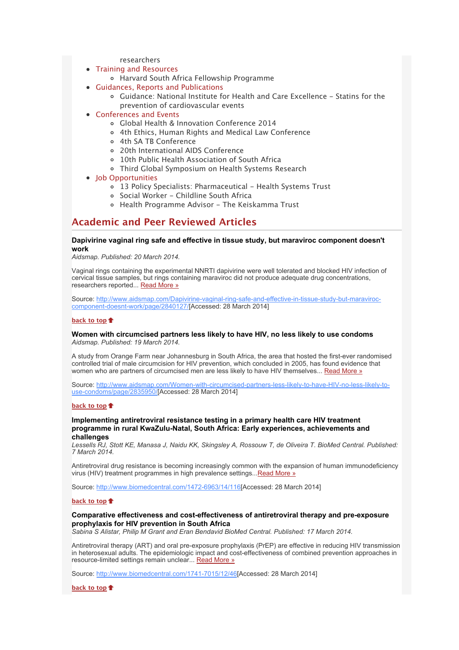### [researchers](x-msg://79/#N_10)

- [Training and Resources](x-msg://79/#train)
	- [Harvard South Africa Fellowship Programme](x-msg://79/#T_1)
- [Guidances, Reports and Publications](x-msg://79/#publications)
	- [Guidance: National Institute for Health and Care Excellence Statins for the](x-msg://79/#P_1) prevention of cardiovascular events

### [Conferences and Events](x-msg://79/#conferences)

- [Global Health & Innovation Conference 2014](x-msg://79/#C_1)
- [4th Ethics, Human Rights and Medical Law Conference](x-msg://79/#C_2)
- [4th SA TB Conference](x-msg://79/#C_3)
- [20th International AIDS Conference](x-msg://79/#C_4)
- [10th Public Health Association of South Africa](x-msg://79/#C_5)
- [Third Global Symposium on Health Systems Research](x-msg://79/#C_6)
- [Job Opportunities](x-msg://79/#jobs)
	- o [13 Policy Specialists: Pharmaceutical Health Systems Trust](x-msg://79/#J_1)
	- [Social Worker Childline South Africa](x-msg://79/#J_2)
	- [Health Programme Advisor The Keiskamma Trust](x-msg://79/#J_3)

# **Academic and Peer Reviewed Articles**

#### **Dapivirine vaginal ring safe and effective in tissue study, but maraviroc component doesn't work**

*Aidsmap. Published: 20 March 2014.*

Vaginal rings containing the experimental NNRTI dapivirine were well tolerated and blocked HIV infection of cervical tissue samples, but rings containing maraviroc did not produce adequate drug concentrations, researchers reported... [Read More »](http://bulletin.hst.org.za//lt.php?id=K09RCFxWVg8GSlNTCkUEAFdT)

[Source: http://www.aidsmap.com/Dapivirine-vaginal-ring-safe-and-effective-in-tissue-study-but-maraviroc](http://bulletin.hst.org.za//lt.php?id=K09RCFxWVg8GSlNTCkUEAFdT)component-doesnt-work/page/2840127/[Accessed: 28 March 2014]

#### **[back to top](x-msg://79/#top)**

#### **Women with circumcised partners less likely to have HIV, no less likely to use condoms** *Aidsmap. Published: 19 March 2014.*

A study from Orange Farm near Johannesburg in South Africa, the area that hosted the first-ever randomised controlled trial of male circumcision for HIV prevention, which concluded in 2005, has found evidence that women who are partners of circumcised men are less likely to have HIV themselves... [Read More »](http://bulletin.hst.org.za//lt.php?id=K09RCFxWVg8FSlNTCkUEAFdT)

[Source: http://www.aidsmap.com/Women-with-circumcised-partners-less-likely-to-have-HIV-no-less-likely-to](http://bulletin.hst.org.za//lt.php?id=K09RCFxWVg8ESlNTCkUEAFdT)use-condoms/page/2835950/[Accessed: 28 March 2014]

#### **[back to top](x-msg://79/#top)**

#### **Implementing antiretroviral resistance testing in a primary health care HIV treatment programme in rural KwaZulu-Natal, South Africa: Early experiences, achievements and challenges**

*Lessells RJ, Stott KE, Manasa J, Naidu KK, Skingsley A, Rossouw T, de Oliveira T. BioMed Central. Published: 7 March 2014.*

Antiretroviral drug resistance is becoming increasingly common with the expansion of human immunodeficiency virus (HIV) treatment programmes in high prevalence settings... Read More »

Source: [http://www.biomedcentral.com/1472-6963/14/116](http://bulletin.hst.org.za//lt.php?id=K09RCFxWVg8DSlNTCkUEAFdT)[Accessed: 28 March 2014]

#### **[back to top](x-msg://79/#top)**

#### **Comparative effectiveness and cost-effectiveness of antiretroviral therapy and pre-exposure prophylaxis for HIV prevention in South Africa**

*Sabina S Alistar, Philip M Grant and Eran Bendavid BioMed Central. Published: 17 March 2014.*

Antiretroviral therapy (ART) and oral pre-exposure prophylaxis (PrEP) are effective in reducing HIV transmission in heterosexual adults. The epidemiologic impact and cost-effectiveness of combined prevention approaches in resource-limited settings remain unclear... [Read More »](http://bulletin.hst.org.za//lt.php?id=K09RCFxWVg8CSlNTCkUEAFdT)

Source: [http://www.biomedcentral.com/1741-7015/12/46\[](http://bulletin.hst.org.za//lt.php?id=K09RCFxWVg8CSlNTCkUEAFdT)Accessed: 28 March 2014]

**[back to top](x-msg://79/#top)**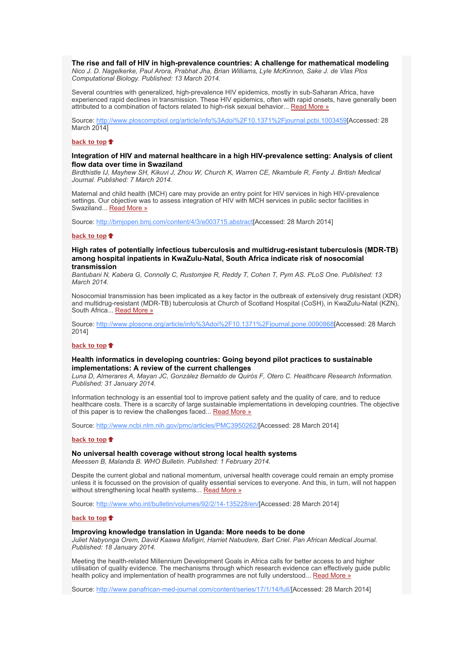#### **The rise and fall of HIV in high-prevalence countries: A challenge for mathematical modeling**

*Nico J. D. Nagelkerke, Paul Arora, Prabhat Jha, Brian Williams, Lyle McKinnon, Sake J. de Vlas Plos Computational Biology. Published: 13 March 2014.*

Several countries with generalized, high-prevalence HIV epidemics, mostly in sub-Saharan Africa, have experienced rapid declines in transmission. These HIV epidemics, often with rapid onsets, have generally been attributed to a combination of factors related to high-risk sexual behavior... [Read More »](http://bulletin.hst.org.za//lt.php?id=K09RCFxWVg8BSlNTCkUEAFdT)

Source: [http://www.ploscompbiol.org/article/info%3Adoi%2F10.1371%2Fjournal.pcbi.1003459\[](http://bulletin.hst.org.za//lt.php?id=K09RCFxWVg8BSlNTCkUEAFdT)Accessed: 28 March 2014]

#### **[back to top](x-msg://79/#top)**

#### **Integration of HIV and maternal healthcare in a high HIV-prevalence setting: Analysis of client flow data over time in Swaziland**

*Birdthistle IJ, Mayhew SH, Kikuvi J, Zhou W, Church K, Warren CE, Nkambule R, Fenty J. British Medical Journal. Published: 7 March 2014.*

Maternal and child health (MCH) care may provide an entry point for HIV services in high HIV-prevalence settings. Our objective was to assess integration of HIV with MCH services in public sector facilities in Swaziland... [Read More »](http://bulletin.hst.org.za//lt.php?id=K09RCFxWVg8ASlNTCkUEAFdT)

Source: [http://bmjopen.bmj.com/content/4/3/e003715.abstract\[](http://bulletin.hst.org.za//lt.php?id=K09RCFxWVg8ASlNTCkUEAFdT)Accessed: 28 March 2014]

#### **[back to top](x-msg://79/#top)**

#### **High rates of potentially infectious tuberculosis and multidrug-resistant tuberculosis (MDR-TB) among hospital inpatients in KwaZulu-Natal, South Africa indicate risk of nosocomial transmission**

*Bantubani N, Kabera G, Connolly C, Rustomjee R, Reddy T, Cohen T, Pym AS. PLoS One. Published: 13 March 2014.*

Nosocomial transmission has been implicated as a key factor in the outbreak of extensively drug resistant (XDR) and multidrug-resistant (MDR-TB) tuberculosis at Church of Scotland Hospital (CoSH), in KwaZulu-Natal (KZN), South Africa... [Read More »](http://bulletin.hst.org.za//lt.php?id=K09RCFxWVg8PSlNTCkUEAFdT)

Source: [http://www.plosone.org/article/info%3Adoi%2F10.1371%2Fjournal.pone.0090868\[](http://bulletin.hst.org.za//lt.php?id=K09RCFxWVg8PSlNTCkUEAFdT)Accessed: 28 March 2014]

#### **[back to top](x-msg://79/#top)**

#### **Health informatics in developing countries: Going beyond pilot practices to sustainable implementations: A review of the current challenges**

*Luna D, Almerares A, Mayan JC, González Bernaldo de Quirós F, Otero C. Healthcare Research Information. Published: 31 January 2014.*

Information technology is an essential tool to improve patient safety and the quality of care, and to reduce healthcare costs. There is a scarcity of large sustainable implementations in developing countries. The objective of this paper is to review the challenges faced... [Read More »](http://bulletin.hst.org.za//lt.php?id=K09RCFxWVg8OSlNTCkUEAFdT)

Source: [http://www.ncbi.nlm.nih.gov/pmc/articles/PMC3950262/\[](http://bulletin.hst.org.za//lt.php?id=K09RCFxWVg8OSlNTCkUEAFdT)Accessed: 28 March 2014]

#### **[back to top](x-msg://79/#top)**

#### **No universal health coverage without strong local health systems**

*Meessen B, Malanda B. WHO Bulletin. Published: 1 February 2014.*

Despite the current global and national momentum, universal health coverage could remain an empty promise unless it is focussed on the provision of quality essential services to everyone. And this, in turn, will not happen without strengthening local health systems... [Read More »](http://bulletin.hst.org.za//lt.php?id=K09RCFxWUQYHSlNTCkUEAFdT)

Source: [http://www.who.int/bulletin/volumes/92/2/14-135228/en/\[](http://bulletin.hst.org.za//lt.php?id=K09RCFxWUQYHSlNTCkUEAFdT)Accessed: 28 March 2014]

#### **[back to top](x-msg://79/#top)**

### **Improving knowledge translation in Uganda: More needs to be done**

*Juliet Nabyonga Orem, David Kaawa Mafigiri, Harriet Nabudere, Bart Criel. Pan African Medical Journal. Published: 18 January 2014.*

Meeting the health-related Millennium Development Goals in Africa calls for better access to and higher utilisation of quality evidence. The mechanisms through which research evidence can effectively guide public health policy and implementation of health programmes are not fully understood... [Read More »](http://bulletin.hst.org.za//lt.php?id=K09RCFxWUQYGSlNTCkUEAFdT)

Source: [http://www.panafrican-med-journal.com/content/series/17/1/14/full/\[](http://bulletin.hst.org.za//lt.php?id=K09RCFxWUQYGSlNTCkUEAFdT)Accessed: 28 March 2014]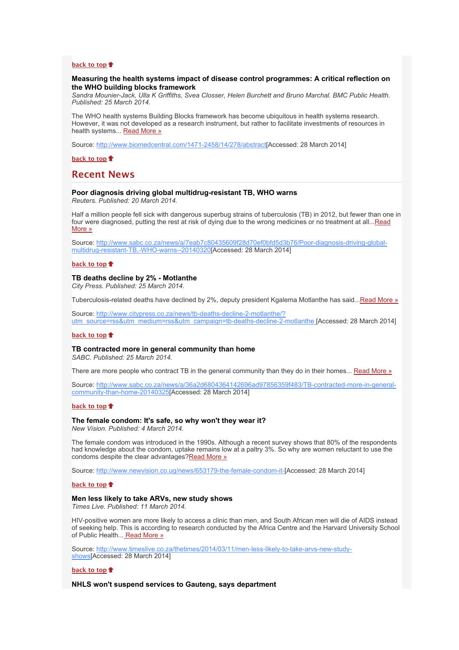#### **[back to top](x-msg://79/#top)**

#### **Measuring the health systems impact of disease control programmes: A critical reflection on the WHO building blocks framework**

*Sandra Mounier-Jack, Ulla K Griffiths, Svea Closser, Helen Burchett and Bruno Marchal. BMC Public Health. Published: 25 March 2014.*

The WHO health systems Building Blocks framework has become ubiquitous in health systems research. However, it was not developed as a research instrument, but rather to facilitate investments of resources in health systems... [Read More »](http://bulletin.hst.org.za//lt.php?id=K09RCFxWUQYFSlNTCkUEAFdT)

Source: [http://www.biomedcentral.com/1471-2458/14/278/abstract\[](http://bulletin.hst.org.za//lt.php?id=K09RCFxWUQYFSlNTCkUEAFdT)Accessed: 28 March 2014]

**[back to top](x-msg://79/#top)**

### **Recent News**

#### **Poor diagnosis driving global multidrug-resistant TB, WHO warns**

*Reuters. Published: 20 March 2014.*

Half a million people fell sick with dangerous superbug strains of tuberculosis (TB) in 2012, but fewer than one in [four were diagnosed, putting the rest at risk of dying due to the wrong medicines or no treatment at all...Read](http://bulletin.hst.org.za//lt.php?id=K09RCFxWUQYESlNTCkUEAFdT) More »

[Source: http://www.sabc.co.za/news/a/7eab7c80435609f28d70ef0bfd5d3b76/Poor-diagnosis-driving-global](http://bulletin.hst.org.za//lt.php?id=K09RCFxWUQYESlNTCkUEAFdT)multidrug-resistant-TB,-WHO-warns--20140320[Accessed: 28 March 2014]

#### **[back to top](x-msg://79/#top)**

#### **TB deaths decline by 2% - Motlanthe**

*City Press. Published: 25 March 2014.*

Tuberculosis-related deaths have declined by 2%, deputy president Kgalema Motlanthe has said..[.Read More »](http://bulletin.hst.org.za//lt.php?id=K09RCFxWUQYDSlNTCkUEAFdT)

Source: http://www.citypress.co.za/news/tb-deaths-decline-2-motlanthe/? [utm\\_source=rss&utm\\_medium=rss&utm\\_campaign=tb-deaths-decline-2-motlanthe \[](http://bulletin.hst.org.za//lt.php?id=K09RCFxWUQYCSlNTCkUEAFdT)Accessed: 28 March 2014]

#### **[back to top](x-msg://79/#top)**

### **TB contracted more in general community than home**

*SABC. Published: 25 March 2014.*

There are more people who contract TB in the general community than they do in their homes... [Read More »](http://bulletin.hst.org.za//lt.php?id=K09RCFxWUQYBSlNTCkUEAFdT)

[Source: http://www.sabc.co.za/news/a/36a2d6804364142696ad97856359f483/TB-contracted-more-in-general](http://bulletin.hst.org.za//lt.php?id=K09RCFxWUQYASlNTCkUEAFdT)community-than-home-20140325[Accessed: 28 March 2014]

#### **[back to top](x-msg://79/#top)**

# **The female condom: It's safe, so why won't they wear it?**

*New Vision. Published: 4 March 2014.*

The female condom was introduced in the 1990s. Although a recent survey shows that 80% of the respondents had knowledge about the condom, uptake remains low at a paltry 3%. So why are women reluctant to use the condoms despite the clear advantages[?Read More »](http://bulletin.hst.org.za//lt.php?id=K09RCFxWUQYPSlNTCkUEAFdT)

Source: [http://www.newvision.co.ug/news/653179-the-female-condom-it-\[](http://bulletin.hst.org.za//lt.php?id=K09RCFxWUQYPSlNTCkUEAFdT)Accessed: 28 March 2014]

#### **[back to top](x-msg://79/#top)**

#### **Men less likely to take ARVs, new study shows**

*Times Live. Published: 11 March 2014.*

HIV-positive women are more likely to access a clinic than men, and South African men will die of AIDS instead of seeking help. This is according to research conducted by the Africa Centre and the Harvard University School of Public Health..[. Read More »](http://bulletin.hst.org.za//lt.php?id=K09RCFxWUQYOSlNTCkUEAFdT)

[Source: http://www.timeslive.co.za/thetimes/2014/03/11/men-less-likely-to-take-arvs-new-study](http://bulletin.hst.org.za//lt.php?id=K09RCFxWUQYOSlNTCkUEAFdT)shows[Accessed: 28 March 2014]

#### **[back to top](x-msg://79/#top)**

**NHLS won't suspend services to Gauteng, says department**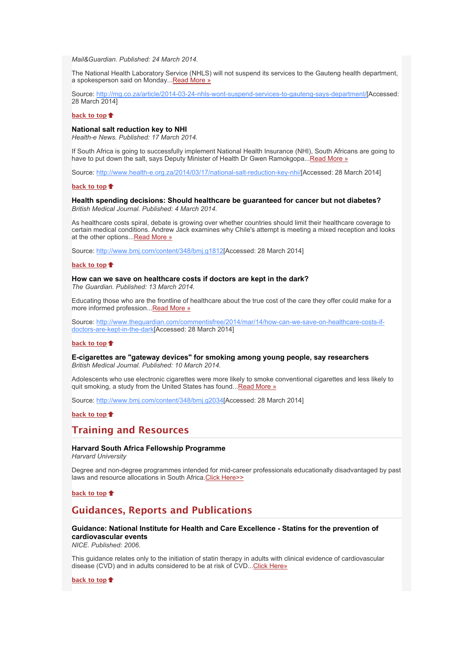*Mail&Guardian. Published: 24 March 2014.*

The National Health Laboratory Service (NHLS) will not suspend its services to the Gauteng health department, a spokesperson said on Monday..[.Read More »](http://bulletin.hst.org.za//lt.php?id=K09RCFxWUQcHSlNTCkUEAFdT)

Source: [http://mg.co.za/article/2014-03-24-nhls-wont-suspend-services-to-gauteng-says-department/](http://bulletin.hst.org.za//lt.php?id=K09RCFxWUQcGSlNTCkUEAFdT)[Accessed: 28 March 2014]

#### **[back to top](x-msg://79/#top)**

#### **National salt reduction key to NHI**

*Health-e News. Published: 17 March 2014.*

If South Africa is going to successfully implement National Health Insurance (NHI), South Africans are going to have to put down the salt, says Deputy Minister of Health Dr Gwen Ramokgopa..[.Read More »](http://bulletin.hst.org.za//lt.php?id=K09RCFxWUQcFSlNTCkUEAFdT)

Source: [http://www.health-e.org.za/2014/03/17/national-salt-reduction-key-nhi/\[](http://bulletin.hst.org.za//lt.php?id=K09RCFxWUQcFSlNTCkUEAFdT)Accessed: 28 March 2014]

#### **[back to top](x-msg://79/#top)**

#### **Health spending decisions: Should healthcare be guaranteed for cancer but not diabetes?** *British Medical Journal. Published: 4 March 2014.*

As healthcare costs spiral, debate is growing over whether countries should limit their healthcare coverage to certain medical conditions. Andrew Jack examines why Chile's attempt is meeting a mixed reception and looks at the other options..[.Read More »](http://bulletin.hst.org.za//lt.php?id=K09RCFxWUQcESlNTCkUEAFdT)

Source: [http://www.bmj.com/content/348/bmj.g1812\[](http://bulletin.hst.org.za//lt.php?id=K09RCFxWUQcESlNTCkUEAFdT)Accessed: 28 March 2014]

#### **[back to top](x-msg://79/#top)**

**How can we save on healthcare costs if doctors are kept in the dark?** *The Guardian. Published: 13 March 2014.*

Educating those who are the frontline of healthcare about the true cost of the care they offer could make for a more informed profession..[.Read More »](http://bulletin.hst.org.za//lt.php?id=K09RCFxWUQcDSlNTCkUEAFdT)

Source: http://www.thequardian.com/commentisfree/2014/mar/14/how-can-we-save-on-healthcare-costs-ifdoctors-are-kept-in-the-dark[Accessed: 28 March 2014]

#### **[back to top](x-msg://79/#top)**

**E-cigarettes are "gateway devices" for smoking among young people, say researchers** *British Medical Journal. Published: 10 March 2014.*

Adolescents who use electronic cigarettes were more likely to smoke conventional cigarettes and less likely to quit smoking, a study from the United States has found... Read More »

Source: [http://www.bmj.com/content/348/bmj.g2034\[](http://bulletin.hst.org.za//lt.php?id=K09RCFxWUQcBSlNTCkUEAFdT)Accessed: 28 March 2014]

#### **[back to top](x-msg://79/#top)**

## **Training and Resources**

### **Harvard South Africa Fellowship Programme**

*Harvard University*

Degree and non-degree programmes intended for mid-career professionals educationally disadvantaged by past laws and resource allocations in South Africa. Click Here>>

**[back to top](x-msg://79/#top)**

# **Guidances, Reports and Publications**

### **Guidance: National Institute for Health and Care Excellence - Statins for the prevention of cardiovascular events**

*NICE. Published: 2006.*

This guidance relates only to the initiation of statin therapy in adults with clinical evidence of cardiovascular disease (CVD) and in adults considered to be at risk of CVD... Click Here»

**[back to top](x-msg://79/#top)**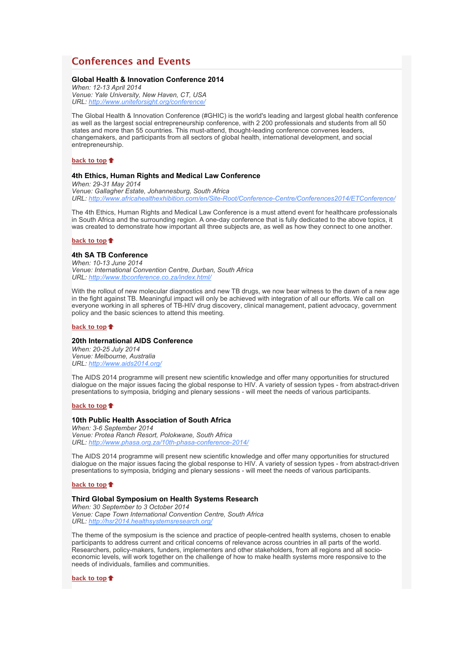# **Conferences and Events**

#### **Global Health & Innovation Conference 2014**

*When: 12-13 April 2014 Venue: Yale University, New Haven, CT, USA URL: [http://www.uniteforsight.org/conference/](http://bulletin.hst.org.za//lt.php?id=K09RCFxWUQcOSlNTCkUEAFdT)*

The Global Health & Innovation Conference (#GHIC) is the world's leading and largest global health conference as well as the largest social entrepreneurship conference, with 2 200 professionals and students from all 50 states and more than 55 countries. This must-attend, thought-leading conference convenes leaders, changemakers, and participants from all sectors of global health, international development, and social entrepreneurship.

#### **[back to top](x-msg://79/#top)**

#### **4th Ethics, Human Rights and Medical Law Conference**

*When: 29-31 May 2014 Venue: Gallagher Estate, Johannesburg, South Africa URL: [http://www.africahealthexhibition.com/en/Site-Root/Conference-Centre/Conferences2014/ETConference/](http://bulletin.hst.org.za//lt.php?id=K09RCFxWUQQHSlNTCkUEAFdT)*

The 4th Ethics, Human Rights and Medical Law Conference is a must attend event for healthcare professionals in South Africa and the surrounding region. A one-day conference that is fully dedicated to the above topics, it was created to demonstrate how important all three subjects are, as well as how they connect to one another.

#### **[back to top](x-msg://79/#top)**

#### **4th SA TB Conference**

*When: 10-13 June 2014 Venue: International Convention Centre, Durban, South Africa URL: [http://www.tbconference.co.za/index.html/](http://bulletin.hst.org.za//lt.php?id=K09RCFxWUQQGSlNTCkUEAFdT)*

With the rollout of new molecular diagnostics and new TB drugs, we now bear witness to the dawn of a new age in the fight against TB. Meaningful impact will only be achieved with integration of all our efforts. We call on everyone working in all spheres of TB-HIV drug discovery, clinical management, patient advocacy, government policy and the basic sciences to attend this meeting.

### **[back to top](x-msg://79/#top)**

#### **20th International AIDS Conference**

*When: 20-25 July 2014 Venue: Melbourne, Australia URL: [http://www.aids2014.org/](http://bulletin.hst.org.za//lt.php?id=K09RCFxWUQQFSlNTCkUEAFdT)*

The AIDS 2014 programme will present new scientific knowledge and offer many opportunities for structured dialogue on the major issues facing the global response to HIV. A variety of session types - from abstract-driven presentations to symposia, bridging and plenary sessions - will meet the needs of various participants.

#### **[back to top](x-msg://79/#top)**

#### **10th Public Health Association of South Africa**

*When: 3-6 September 2014 Venue: Protea Ranch Resort, Polokwane, South Africa URL: [http://www.phasa.org.za/10th-phasa-conference-2014/](http://bulletin.hst.org.za//lt.php?id=K09RCFxWUQQESlNTCkUEAFdT)*

The AIDS 2014 programme will present new scientific knowledge and offer many opportunities for structured dialogue on the major issues facing the global response to HIV. A variety of session types - from abstract-driven presentations to symposia, bridging and plenary sessions - will meet the needs of various participants.

#### **[back to top](x-msg://79/#top)**

#### **Third Global Symposium on Health Systems Research**

*When: 30 September to 3 October 2014 Venue: Cape Town International Convention Centre, South Africa URL: [http://hsr2014.healthsystemsresearch.org/](http://bulletin.hst.org.za//lt.php?id=K09RCFxWUQQDSlNTCkUEAFdT)*

The theme of the symposium is the science and practice of people-centred health systems, chosen to enable participants to address current and critical concerns of relevance across countries in all parts of the world. Researchers, policy-makers, funders, implementers and other stakeholders, from all regions and all socioeconomic levels, will work together on the challenge of how to make health systems more responsive to the needs of individuals, families and communities.

**[back to top](x-msg://79/#top)**